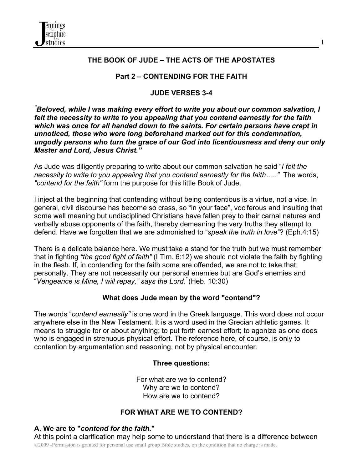

# **THE BOOK OF JUDE – THE ACTS OF THE APOSTATES**

# **Part 2 – CONTENDING FOR THE FAITH**

## **JUDE VERSES 3-4**

*" Beloved, while I was making every effort to write you about our common salvation, I felt the necessity to write to you appealing that you contend earnestly for the faith which was once for all handed down to the saints. For certain persons have crept in unnoticed, those who were long beforehand marked out for this condemnation, ungodly persons who turn the grace of our God into licentiousness and deny our only Master and Lord, Jesus Christ."*

As Jude was diligently preparing to write about our common salvation he said "*I felt the necessity to write to you appealing that you contend earnestly for the faith….."* The words, *"contend for the faith"* form the purpose for this little Book of Jude.

I inject at the beginning that contending without being contentious is a virtue, not a vice. In general, civil discourse has become so crass, so "in your face", vociferous and insulting that some well meaning but undisciplined Christians have fallen prey to their carnal natures and verbally abuse opponents of the faith, thereby demeaning the very truths they attempt to defend. Have we forgotten that we are admonished to "*speak the truth in love"*? (Eph.4:15)

There is a delicate balance here. We must take a stand for the truth but we must remember that in fighting *"the good fight of faith"* (I Tim. 6:12) we should not violate the faith by fighting in the flesh. If, in contending for the faith some are offended, we are not to take that personally. They are not necessarily our personal enemies but are God's enemies and "*Vengeance is Mine, I will repay," says the Lord."* (Heb. 10:30)

#### **What does Jude mean by the word "contend"?**

The words "*contend earnestly"* is one word in the Greek language. This word does not occur anywhere else in the New Testament. It is a word used in the Grecian athletic games. It means to struggle for or about anything; to put forth earnest effort; to agonize as one does who is engaged in strenuous physical effort. The reference here, of course, is only to contention by argumentation and reasoning, not by physical encounter.

#### **Three questions:**

For what are we to contend? Why are we to contend? How are we to contend?

#### **FOR WHAT ARE WE TO CONTEND?**

#### **A. We are to "***contend for the faith***."**

©2009 -Permission is granted for personal use small group Bible studies, on the condition that no charge is made. At this point a clarification may help some to understand that there is a difference between

1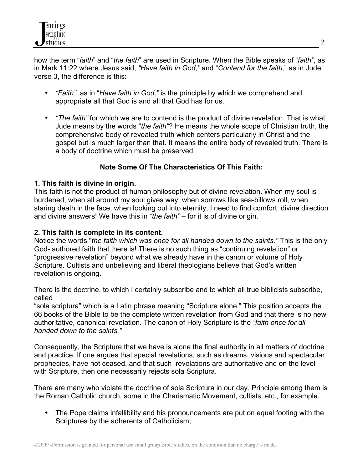how the term "*faith*" and "*the faith*" are used in Scripture. When the Bible speaks of "*faith"*, as in Mark 11:22 where Jesus said, *"Have faith in God,"* and "*Contend for the faith,*" as in Jude verse 3, the difference is this:

- *"Faith"*, as in "*Have faith in God,"* is the principle by which we comprehend and appropriate all that God is and all that God has for us.
- *"The faith"* for which we are to contend is the product of divine revelation. That is what Jude means by the words "*the faith"*? He means the whole scope of Christian truth, the comprehensive body of revealed truth which centers particularly in Christ and the gospel but is much larger than that. It means the entire body of revealed truth. There is a body of doctrine which must be preserved.

# **Note Some Of The Characteristics Of This Faith:**

## **1. This faith is divine in origin.**

This faith is not the product of human philosophy but of divine revelation. When my soul is burdened, when all around my soul gives way, when sorrows like sea-billows roll, when staring death in the face, when looking out into eternity, I need to find comfort, divine direction and divine answers! We have this in *"the faith"* – for it is of divine origin.

## **2. This faith is complete in its content.**

Notice the words "*the faith which was once for all handed down to the saints."* This is the only God- authored faith that there is! There is no such thing as "continuing revelation" or "progressive revelation" beyond what we already have in the canon or volume of Holy Scripture. Cultists and unbelieving and liberal theologians believe that God's written revelation is ongoing.

There is the doctrine, to which I certainly subscribe and to which all true biblicists subscribe, called

"sola scriptura" which is a Latin phrase meaning "Scripture alone." This position accepts the 66 books of the Bible to be the complete written revelation from God and that there is no new authoritative, canonical revelation. The canon of Holy Scripture is the *"faith once for all handed down to the saints."*

Consequently, the Scripture that we have is alone the final authority in all matters of doctrine and practice. If one argues that special revelations, such as dreams, visions and spectacular prophecies, have not ceased, and that such revelations are authoritative and on the level with Scripture, then one necessarily rejects sola Scriptura.

There are many who violate the doctrine of sola Scriptura in our day. Principle among them is the Roman Catholic church, some in the Charismatic Movement, cultists, etc., for example.

• The Pope claims infallibility and his pronouncements are put on equal footing with the Scriptures by the adherents of Catholicism;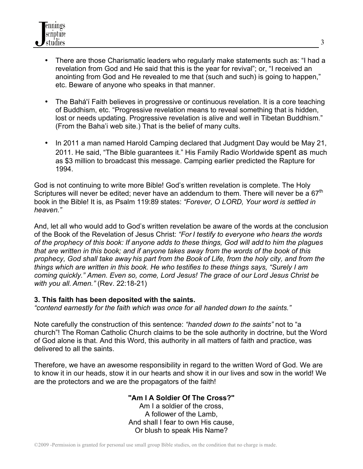- There are those Charismatic leaders who regularly make statements such as: "I had a revelation from God and He said that this is the year for revival"; or, "I received an anointing from God and He revealed to me that (such and such) is going to happen," etc. Beware of anyone who speaks in that manner.
- The Bahá'í Faith believes in progressive or continuous revelation. It is a core teaching of Buddhism, etc. "Progressive revelation means to reveal something that is hidden, lost or needs updating. Progressive revelation is alive and well in Tibetan Buddhism." (From the Baha'i web site.) That is the belief of many cults.
- In 2011 a man named Harold Camping declared that Judgment Day would be May 21, 2011. He said, "The Bible guarantees it." His Family Radio Worldwide spent as much as \$3 million to broadcast this message. Camping earlier predicted the Rapture for 1994.

God is not continuing to write more Bible! God's written revelation is complete. The Holy Scriptures will never be edited; never have an addendum to them. There will never be a  $67<sup>th</sup>$ book in the Bible! It is, as Psalm 119:89 states: *"Forever, O LORD, Your word is settled in heaven."*

And, let all who would add to God's written revelation be aware of the words at the conclusion of the Book of the Revelation of Jesus Christ: *"For I testify to everyone who hears the words of the prophecy of this book: If anyone adds to these things, God will add to him the plagues that are written in this book; and if anyone takes away from the words of the book of this prophecy, God shall take away his part from the Book of Life, from the holy city, and from the things which are written in this book. He who testifies to these things says, "Surely I am coming quickly." Amen. Even so, come, Lord Jesus! The grace of our Lord Jesus Christ be with you all. Amen."* (Rev. 22:18-21)

# **3. This faith has been deposited with the saints.**

*"contend earnestly for the faith which was once for all handed down to the saints."* 

Note carefully the construction of this sentence: *"handed down to the saints"* not to "a church"! The Roman Catholic Church claims to be the sole authority in doctrine, but the Word of God alone is that. And this Word, this authority in all matters of faith and practice, was delivered to all the saints.

Therefore, we have an awesome responsibility in regard to the written Word of God. We are to know it in our heads, stow it in our hearts and show it in our lives and sow in the world! We are the protectors and we are the propagators of the faith!

# **"Am I A Soldier Of The Cross?"**

Am I a soldier of the cross, A follower of the Lamb, And shall I fear to own His cause, Or blush to speak His Name?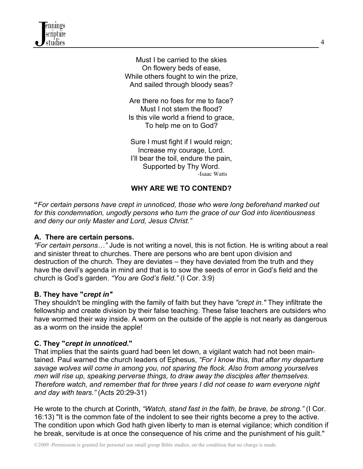

Must I be carried to the skies On flowery beds of ease, While others fought to win the prize, And sailed through bloody seas?

Are there no foes for me to face? Must I not stem the flood? Is this vile world a friend to grace, To help me on to God?

Sure I must fight if I would reign; Increase my courage, Lord. I'll bear the toil, endure the pain, Supported by Thy Word.-Isaac Watts

# **WHY ARE WE TO CONTEND?**

**"***For certain persons have crept in unnoticed, those who were long beforehand marked out for this condemnation, ungodly persons who turn the grace of our God into licentiousness and deny our only Master and Lord, Jesus Christ."* 

## **A. There are certain persons.**

*"For certain persons…"* Jude is not writing a novel, this is not fiction. He is writing about a real and sinister threat to churches. There are persons who are bent upon division and destruction of the church. They are deviates – they have deviated from the truth and they have the devil's agenda in mind and that is to sow the seeds of error in God's field and the church is God's garden. *"You are God's field."* (I Cor. 3:9)

#### **B. They have "***crept in"*

They shouldn't be mingling with the family of faith but they have *"crept in."* They infiltrate the fellowship and create division by their false teaching. These false teachers are outsiders who have wormed their way inside. A worm on the outside of the apple is not nearly as dangerous as a worm on the inside the apple!

#### **C. They "***crept in unnoticed***."**

That implies that the saints guard had been let down, a vigilant watch had not been maintained. Paul warned the church leaders of Ephesus, *"For I know this, that after my departure savage wolves will come in among you, not sparing the flock. Also from among yourselves men will rise up, speaking perverse things, to draw away the disciples after themselves. Therefore watch, and remember that for three years I did not cease to warn everyone night and day with tears."* (Acts 20:29-31)

He wrote to the church at Corinth, *"Watch, stand fast in the faith, be brave, be strong."* (I Cor. 16:13) "It is the common fate of the indolent to see their rights become a prey to the active. The condition upon which God hath given liberty to man is eternal vigilance; which condition if he break, servitude is at once the consequence of his crime and the punishment of his guilt."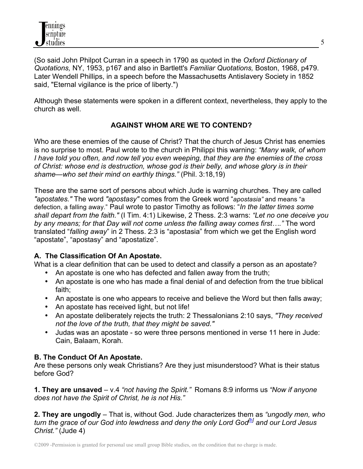

(So said John Philpot Curran in a speech in 1790 as quoted in the *Oxford Dictionary of Quotations,* NY, 1953, p167 and also in Bartlett's *Familiar Quotations,* Boston, 1968, p479. Later Wendell Phillips, in a speech before the Massachusetts Antislavery Society in 1852 said, "Eternal vigilance is the price of liberty.")

Although these statements were spoken in a different context, nevertheless, they apply to the church as well.

# **AGAINST WHOM ARE WE TO CONTEND?**

Who are these enemies of the cause of Christ? That the church of Jesus Christ has enemies is no surprise to most. Paul wrote to the church in Philippi this warning: *"Many walk, of whom I have told you often, and now tell you even weeping, that they are the enemies of the cross of Christ: whose end is destruction, whose god is their belly, and whose glory is in their shame—who set their mind on earthly things."* (Phil. 3:18,19)

These are the same sort of persons about which Jude is warning churches. They are called *"apostates."* The word *"apostasy"* comes from the Greek word "*apostasia"* and means "a defection, a falling away." Paul wrote to pastor Timothy as follows: "*In the latter times some shall depart from the faith."* (I Tim. 4:1) Likewise, 2 Thess. 2:3 warns: *"Let no one deceive you by any means; for that Day will not come unless the falling away comes first…."* The word translated "*falling away*" in 2 Thess. 2:3 is "apostasia" from which we get the English word "apostate", "apostasy" and "apostatize".

#### **A. The Classification Of An Apostate.**

What is a clear definition that can be used to detect and classify a person as an apostate?

- An apostate is one who has defected and fallen away from the truth;
- An apostate is one who has made a final denial of and defection from the true biblical faith;
- An apostate is one who appears to receive and believe the Word but then falls away;
- An apostate has received light, but not life!
- An apostate deliberately rejects the truth: 2 Thessalonians 2:10 says, *"They received not the love of the truth, that they might be saved."*
- Judas was an apostate so were three persons mentioned in verse 11 here in Jude: Cain, Balaam, Korah.

#### **B. The Conduct Of An Apostate.**

Are these persons only weak Christians? Are they just misunderstood? What is their status before God?

**1. They are unsaved** – v.4 *"not having the Spirit."* Romans 8:9 informs us *"Now if anyone does not have the Spirit of Christ, he is not His."*

**2. They are ungodly** – That is, without God. Jude characterizes them as *"ungodly men, who turn the grace of our God into lewdness and deny the only Lord God<sup>[b]</sup> and our Lord Jesus Christ."* (Jude 4)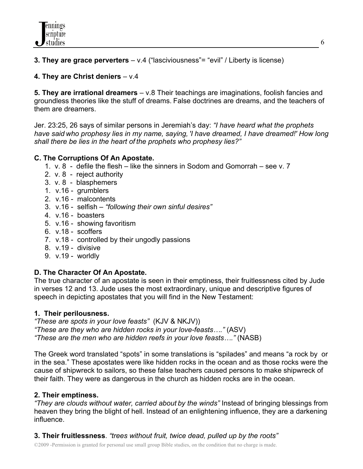**3. They are grace perverters** – v.4 ("lasciviousness"= "evil" / Liberty is license)

# **4. They are Christ deniers** – v.4

**5. They are irrational dreamers** – v.8 Their teachings are imaginations, foolish fancies and groundless theories like the stuff of dreams. False doctrines are dreams, and the teachers of them are dreamers.

Jer. 23:25, 26 says of similar persons in Jeremiah's day: *"I have heard what the prophets have said who prophesy lies in my name, saying, 'I have dreamed, I have dreamed!' How long shall there be lies in the heart of the prophets who prophesy lies?"*

# **C. The Corruptions Of An Apostate.**

- 1. v. 8 defile the flesh like the sinners in Sodom and Gomorrah see v. 7
- 2. v. 8 reject authority
- 3. v. 8 blasphemers
- 1. v.16 grumblers
- 2. v.16 malcontents
- 3. v.16 selfish *"following their own sinful desires"*
- 4. v.16 boasters
- 5. v.16 showing favoritism
- 6. v.18 scoffers
- 7. v.18 controlled by their ungodly passions
- 8. v.19 divisive
- 9. v.19 worldly

# **D. The Character Of An Apostate.**

The true character of an apostate is seen in their emptiness, their fruitlessness cited by Jude in verses 12 and 13. Jude uses the most extraordinary, unique and descriptive figures of speech in depicting apostates that you will find in the New Testament:

# **1. Their perilousness.**

*"These are spots in your love feasts"* (KJV & NKJV)) *"These are they who are hidden rocks in your love-feasts…."* (ASV) *"These are the men who are hidden reefs in your love feasts…."* (NASB)

The Greek word translated "spots" in some translations is "spilades" and means "a rock by or in the sea." These apostates were like hidden rocks in the ocean and as those rocks were the cause of shipwreck to sailors, so these false teachers caused persons to make shipwreck of their faith. They were as dangerous in the church as hidden rocks are in the ocean.

# **2. Their emptiness.**

*"They are clouds without water, carried about by the winds"* Instead of bringing blessings from heaven they bring the blight of hell. Instead of an enlightening influence, they are a darkening influence.

**3. Their fruitlessness**. *"trees without fruit, twice dead, pulled up by the roots"* 

©2009 -Permission is granted for personal use small group Bible studies, on the condition that no charge is made.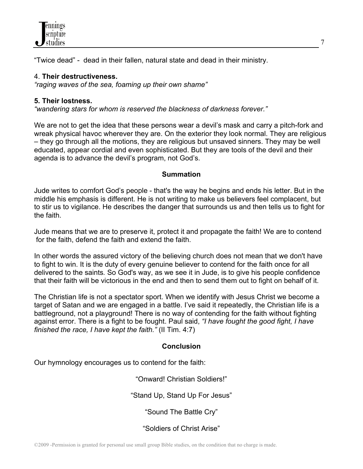

"Twice dead" - dead in their fallen, natural state and dead in their ministry.

#### 4. **Their destructiveness.**

*"raging waves of the sea, foaming up their own shame"*

#### **5. Their lostness.**

*"wandering stars for whom is reserved the blackness of darkness forever."*

We are not to get the idea that these persons wear a devil's mask and carry a pitch-fork and wreak physical havoc wherever they are. On the exterior they look normal. They are religious – they go through all the motions, they are religious but unsaved sinners. They may be well educated, appear cordial and even sophisticated. But they are tools of the devil and their agenda is to advance the devil's program, not God's.

#### **Summation**

Jude writes to comfort God's people - that's the way he begins and ends his letter. But in the middle his emphasis is different. He is not writing to make us believers feel complacent, but to stir us to vigilance. He describes the danger that surrounds us and then tells us to fight for the faith.

Jude means that we are to preserve it, protect it and propagate the faith! We are to contend for the faith, defend the faith and extend the faith.

In other words the assured victory of the believing church does not mean that we don't have to fight to win. It is the duty of every genuine believer to contend for the faith once for all delivered to the saints*.* So God's way, as we see it in Jude, is to give his people confidence that their faith will be victorious in the end and then to send them out to fight on behalf of it.

The Christian life is not a spectator sport. When we identify with Jesus Christ we become a target of Satan and we are engaged in a battle. I've said it repeatedly, the Christian life is a battleground, not a playground! There is no way of contending for the faith without fighting against error. There is a fight to be fought. Paul said, *"I have fought the good fight, I have finished the race, I have kept the faith."* (II Tim. 4:7)

# **Conclusion**

Our hymnology encourages us to contend for the faith:

"Onward! Christian Soldiers!"

"Stand Up, Stand Up For Jesus"

"Sound The Battle Cry"

"Soldiers of Christ Arise"